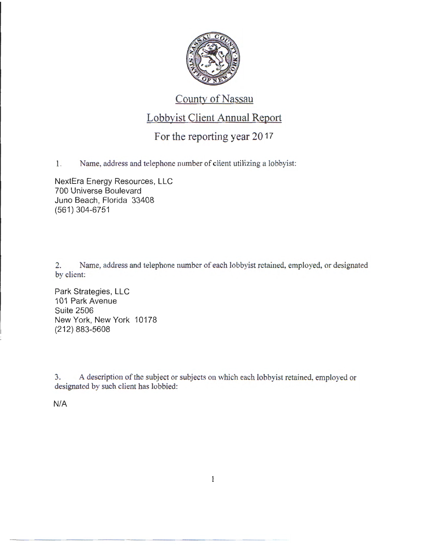

## County of Nassau

## Lobbyist Client Annual Report

## For the reporting year 2017

1. Name, address and telephone number of client utilizing a lobbyist:

NextEra Energy Resources, LLC 700 Universe Boulevard Juno Beach, Florida 33408 (561) 304-6751

2. Name, address and telephone number of each lobbyist retained, employed, or designated by client:

Park Strategies, LLC 101 Park Avenue Suite 2506 New York, New York 10178 (212) 883-5608

3. A description of the subject or subjects on which each lobbyist retained, employed or designated by such client has lobbied:

N/A

 $\mathbf{1}$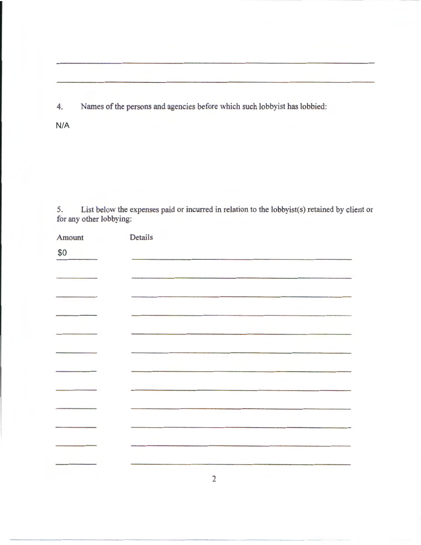4. Names of the persons and agencies before which such lobbyist has lobbied:

N/A

5. List below the expenses paid or incurred in relation to the lobbyist(s) retained by client or for any other lobbying:

| Amount | Details        |
|--------|----------------|
| \$0    |                |
|        |                |
|        |                |
|        |                |
|        |                |
|        |                |
|        |                |
|        |                |
|        |                |
|        |                |
|        |                |
|        | $\overline{2}$ |